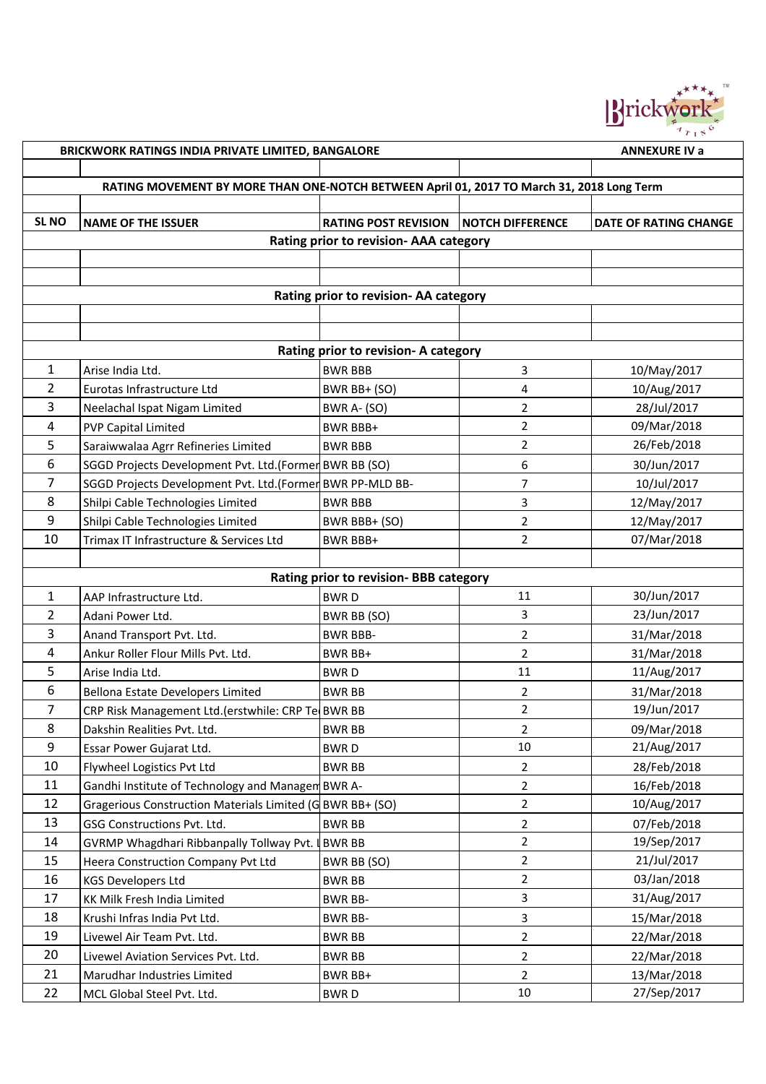

|                | BRICKWORK RATINGS INDIA PRIVATE LIMITED, BANGALORE                                        |                                        |                         | <b>ANNEXURE IV a</b>         |  |  |  |
|----------------|-------------------------------------------------------------------------------------------|----------------------------------------|-------------------------|------------------------------|--|--|--|
|                |                                                                                           |                                        |                         |                              |  |  |  |
|                | RATING MOVEMENT BY MORE THAN ONE-NOTCH BETWEEN April 01, 2017 TO March 31, 2018 Long Term |                                        |                         |                              |  |  |  |
|                |                                                                                           |                                        |                         |                              |  |  |  |
| <b>SL NO</b>   | <b>NAME OF THE ISSUER</b>                                                                 | <b>RATING POST REVISION</b>            | <b>NOTCH DIFFERENCE</b> | <b>DATE OF RATING CHANGE</b> |  |  |  |
|                |                                                                                           | Rating prior to revision- AAA category |                         |                              |  |  |  |
|                |                                                                                           |                                        |                         |                              |  |  |  |
|                |                                                                                           |                                        |                         |                              |  |  |  |
|                |                                                                                           | Rating prior to revision- AA category  |                         |                              |  |  |  |
|                |                                                                                           |                                        |                         |                              |  |  |  |
|                |                                                                                           |                                        |                         |                              |  |  |  |
|                |                                                                                           | Rating prior to revision- A category   |                         |                              |  |  |  |
| 1              | Arise India Ltd.                                                                          | <b>BWR BBB</b>                         | 3                       | 10/May/2017                  |  |  |  |
| 2              | Eurotas Infrastructure Ltd                                                                | BWR BB+ (SO)                           | $\overline{\mathbf{4}}$ | 10/Aug/2017                  |  |  |  |
| 3              | Neelachal Ispat Nigam Limited                                                             | BWR A- (SO)                            | $\overline{2}$          | 28/Jul/2017                  |  |  |  |
| 4              | <b>PVP Capital Limited</b>                                                                | BWR BBB+                               | $\overline{2}$          | 09/Mar/2018                  |  |  |  |
| 5              | Saraiwwalaa Agrr Refineries Limited                                                       | <b>BWR BBB</b>                         | $\overline{2}$          | 26/Feb/2018                  |  |  |  |
| 6              | SGGD Projects Development Pvt. Ltd. (Former BWR BB (SO)                                   |                                        | 6                       | 30/Jun/2017                  |  |  |  |
| 7              | SGGD Projects Development Pvt. Ltd.(Former BWR PP-MLD BB-                                 |                                        | 7                       | 10/Jul/2017                  |  |  |  |
| 8              | Shilpi Cable Technologies Limited                                                         | <b>BWR BBB</b>                         | 3                       | 12/May/2017                  |  |  |  |
| 9              | Shilpi Cable Technologies Limited                                                         | BWR BBB+ (SO)                          | $\overline{2}$          | 12/May/2017                  |  |  |  |
| 10             | Trimax IT Infrastructure & Services Ltd                                                   | <b>BWR BBB+</b>                        | $\overline{2}$          | 07/Mar/2018                  |  |  |  |
|                |                                                                                           |                                        |                         |                              |  |  |  |
|                |                                                                                           | Rating prior to revision- BBB category |                         |                              |  |  |  |
| 1              | AAP Infrastructure Ltd.                                                                   | <b>BWRD</b>                            | 11                      | 30/Jun/2017                  |  |  |  |
| 2              | Adani Power Ltd.                                                                          | BWR BB (SO)                            | 3                       | 23/Jun/2017                  |  |  |  |
| 3              | Anand Transport Pvt. Ltd.                                                                 | <b>BWR BBB-</b>                        | $\overline{2}$          | 31/Mar/2018                  |  |  |  |
| 4              | Ankur Roller Flour Mills Pvt. Ltd.                                                        | BWR BB+                                | $\overline{2}$          | 31/Mar/2018                  |  |  |  |
| 5              | Arise India Ltd.                                                                          | <b>BWRD</b>                            | 11                      | 11/Aug/2017                  |  |  |  |
| 6              | Bellona Estate Developers Limited                                                         | <b>BWR BB</b>                          | $\overline{2}$          | 31/Mar/2018                  |  |  |  |
| $\overline{7}$ | CRP Risk Management Ltd.(erstwhile: CRP Te BWR BB                                         |                                        | $\overline{2}$          | 19/Jun/2017                  |  |  |  |
| 8              | Dakshin Realities Pvt. Ltd.                                                               | <b>BWR BB</b>                          | $\overline{2}$          | 09/Mar/2018                  |  |  |  |
| 9              | Essar Power Gujarat Ltd.                                                                  | <b>BWRD</b>                            | 10                      | 21/Aug/2017                  |  |  |  |
| 10             | Flywheel Logistics Pvt Ltd                                                                | <b>BWR BB</b>                          | $\overline{2}$          | 28/Feb/2018                  |  |  |  |
| 11             | Gandhi Institute of Technology and Managen BWR A-                                         |                                        | $\overline{2}$          | 16/Feb/2018                  |  |  |  |
| 12             | Gragerious Construction Materials Limited (G BWR BB+ (SO)                                 |                                        | $\overline{2}$          | 10/Aug/2017                  |  |  |  |
| 13             | GSG Constructions Pvt. Ltd.                                                               | <b>BWR BB</b>                          | $\overline{2}$          | 07/Feb/2018                  |  |  |  |
| 14             | GVRMP Whagdhari Ribbanpally Tollway Pvt.   BWR BB                                         |                                        | $\overline{2}$          | 19/Sep/2017                  |  |  |  |
| 15             | Heera Construction Company Pvt Ltd                                                        | BWR BB (SO)                            | $\overline{2}$          | 21/Jul/2017                  |  |  |  |
| 16             | <b>KGS Developers Ltd</b>                                                                 | <b>BWR BB</b>                          | $\overline{2}$          | 03/Jan/2018                  |  |  |  |
| 17             | KK Milk Fresh India Limited                                                               | <b>BWR BB-</b>                         | $\mathbf{3}$            | 31/Aug/2017                  |  |  |  |
| 18             | Krushi Infras India Pvt Ltd.                                                              | <b>BWR BB-</b>                         | 3                       | 15/Mar/2018                  |  |  |  |
| 19             | Livewel Air Team Pvt. Ltd.                                                                | <b>BWR BB</b>                          | $\overline{2}$          | 22/Mar/2018                  |  |  |  |
| 20             | Livewel Aviation Services Pvt. Ltd.                                                       | <b>BWR BB</b>                          | $\overline{2}$          | 22/Mar/2018                  |  |  |  |
| 21             | Marudhar Industries Limited                                                               | BWR BB+                                | $\overline{2}$          | 13/Mar/2018                  |  |  |  |
| 22             | MCL Global Steel Pvt. Ltd.                                                                | <b>BWRD</b>                            | 10                      | 27/Sep/2017                  |  |  |  |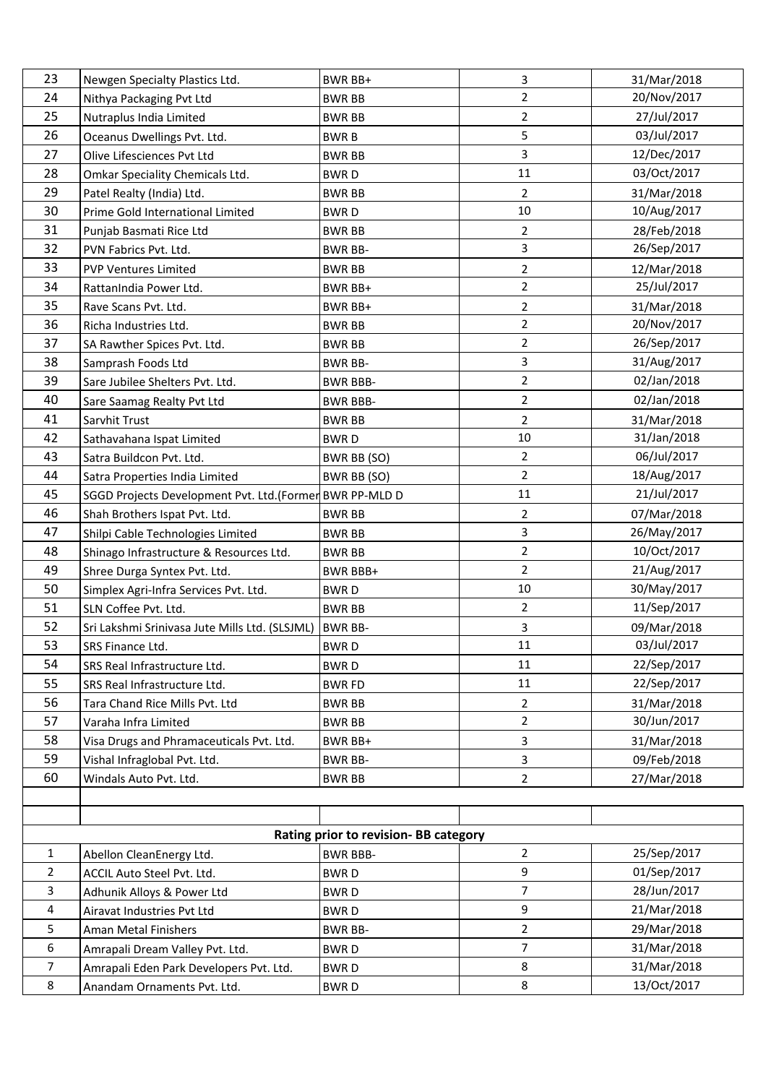| 23             | Newgen Specialty Plastics Ltd.                          | <b>BWR BB+</b>                        | 3              | 31/Mar/2018 |
|----------------|---------------------------------------------------------|---------------------------------------|----------------|-------------|
| 24             | Nithya Packaging Pvt Ltd                                | <b>BWR BB</b>                         | $\overline{2}$ | 20/Nov/2017 |
| 25             | Nutraplus India Limited                                 | <b>BWR BB</b>                         | $\overline{2}$ | 27/Jul/2017 |
| 26             | Oceanus Dwellings Pvt. Ltd.                             | <b>BWRB</b>                           | 5              | 03/Jul/2017 |
| 27             | Olive Lifesciences Pvt Ltd                              | <b>BWR BB</b>                         | 3              | 12/Dec/2017 |
| 28             | Omkar Speciality Chemicals Ltd.                         | <b>BWRD</b>                           | 11             | 03/Oct/2017 |
| 29             | Patel Realty (India) Ltd.                               | <b>BWR BB</b>                         | $\overline{2}$ | 31/Mar/2018 |
| 30             | Prime Gold International Limited                        | <b>BWRD</b>                           | 10             | 10/Aug/2017 |
| 31             | Punjab Basmati Rice Ltd                                 | <b>BWR BB</b>                         | $\overline{2}$ | 28/Feb/2018 |
| 32             | PVN Fabrics Pvt. Ltd.                                   | <b>BWR BB-</b>                        | 3              | 26/Sep/2017 |
| 33             | <b>PVP Ventures Limited</b>                             | <b>BWR BB</b>                         | $\overline{2}$ | 12/Mar/2018 |
| 34             | RattanIndia Power Ltd.                                  | BWR BB+                               | $\overline{2}$ | 25/Jul/2017 |
| 35             | Rave Scans Pvt. Ltd.                                    | BWR BB+                               | $\overline{2}$ | 31/Mar/2018 |
| 36             | Richa Industries Ltd.                                   | <b>BWR BB</b>                         | $\overline{2}$ | 20/Nov/2017 |
| 37             | SA Rawther Spices Pvt. Ltd.                             | <b>BWR BB</b>                         | $\overline{2}$ | 26/Sep/2017 |
| 38             | Samprash Foods Ltd                                      | <b>BWR BB-</b>                        | $\overline{3}$ | 31/Aug/2017 |
| 39             | Sare Jubilee Shelters Pvt. Ltd.                         | <b>BWR BBB-</b>                       | $\overline{2}$ | 02/Jan/2018 |
| 40             | Sare Saamag Realty Pvt Ltd                              | <b>BWR BBB-</b>                       | $\overline{2}$ | 02/Jan/2018 |
| 41             | Sarvhit Trust                                           | <b>BWR BB</b>                         | $\overline{2}$ | 31/Mar/2018 |
| 42             | Sathavahana Ispat Limited                               | <b>BWRD</b>                           | $10\,$         | 31/Jan/2018 |
| 43             | Satra Buildcon Pvt. Ltd.                                | BWR BB (SO)                           | $\overline{2}$ | 06/Jul/2017 |
| 44             | Satra Properties India Limited                          | BWR BB (SO)                           | $\overline{2}$ | 18/Aug/2017 |
| 45             | SGGD Projects Development Pvt. Ltd.(Former BWR PP-MLD D |                                       | 11             | 21/Jul/2017 |
| 46             | Shah Brothers Ispat Pvt. Ltd.                           | <b>BWR BB</b>                         | $\overline{2}$ | 07/Mar/2018 |
| 47             | Shilpi Cable Technologies Limited                       | <b>BWR BB</b>                         | 3              | 26/May/2017 |
| 48             | Shinago Infrastructure & Resources Ltd.                 | <b>BWR BB</b>                         | $\overline{2}$ | 10/Oct/2017 |
| 49             | Shree Durga Syntex Pvt. Ltd.                            | <b>BWR BBB+</b>                       | $\overline{2}$ | 21/Aug/2017 |
| 50             | Simplex Agri-Infra Services Pvt. Ltd.                   | <b>BWRD</b>                           | $10\,$         | 30/May/2017 |
| 51             | SLN Coffee Pvt. Ltd.                                    | <b>BWR BB</b>                         | $\overline{2}$ | 11/Sep/2017 |
| 52             | Sri Lakshmi Srinivasa Jute Mills Ltd. (SLSJML)          | <b>BWR BB-</b>                        | 3              | 09/Mar/2018 |
| 53             | SRS Finance Ltd.                                        | <b>BWRD</b>                           | 11             | 03/Jul/2017 |
| 54             | SRS Real Infrastructure Ltd.                            | <b>BWRD</b>                           | 11             | 22/Sep/2017 |
| 55             | SRS Real Infrastructure Ltd.                            | <b>BWR FD</b>                         | 11             | 22/Sep/2017 |
| 56             | Tara Chand Rice Mills Pvt. Ltd                          | <b>BWR BB</b>                         | $\overline{2}$ | 31/Mar/2018 |
| 57             | Varaha Infra Limited                                    | <b>BWR BB</b>                         | $\overline{2}$ | 30/Jun/2017 |
| 58             | Visa Drugs and Phramaceuticals Pvt. Ltd.                | BWR BB+                               | 3              | 31/Mar/2018 |
| 59             | Vishal Infraglobal Pvt. Ltd.                            | <b>BWR BB-</b>                        | 3              | 09/Feb/2018 |
| 60             | Windals Auto Pvt. Ltd.                                  | <b>BWR BB</b>                         | $\overline{2}$ | 27/Mar/2018 |
|                |                                                         |                                       |                |             |
|                |                                                         |                                       |                |             |
|                |                                                         | Rating prior to revision- BB category |                |             |
| $\mathbf{1}$   | Abellon CleanEnergy Ltd.                                | <b>BWR BBB-</b>                       | $\overline{2}$ | 25/Sep/2017 |
| $\overline{2}$ | ACCIL Auto Steel Pvt. Ltd.                              | <b>BWRD</b>                           | 9              | 01/Sep/2017 |
| 3              | Adhunik Alloys & Power Ltd                              | <b>BWRD</b>                           | $\overline{7}$ | 28/Jun/2017 |
| 4              | Airavat Industries Pvt Ltd                              | <b>BWRD</b>                           | 9              | 21/Mar/2018 |
| 5              | Aman Metal Finishers                                    | <b>BWR BB-</b>                        | $\overline{2}$ | 29/Mar/2018 |
| 6              | Amrapali Dream Valley Pvt. Ltd.                         | <b>BWRD</b>                           | $\overline{7}$ | 31/Mar/2018 |
| $\overline{7}$ | Amrapali Eden Park Developers Pvt. Ltd.                 | <b>BWRD</b>                           | 8              | 31/Mar/2018 |
| 8              | Anandam Ornaments Pvt. Ltd.                             | <b>BWRD</b>                           | 8              | 13/Oct/2017 |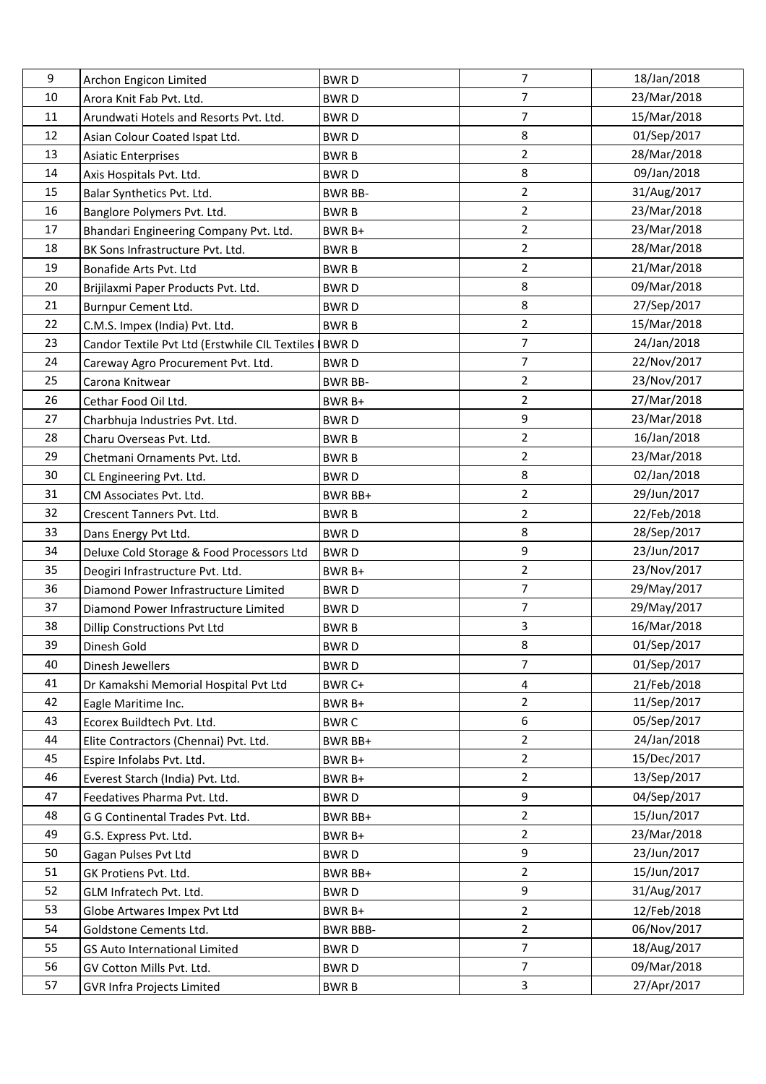| 9  | Archon Engicon Limited                         | <b>BWRD</b>     | $\overline{7}$ | 18/Jan/2018 |
|----|------------------------------------------------|-----------------|----------------|-------------|
| 10 | Arora Knit Fab Pvt. Ltd.                       | <b>BWRD</b>     | $\overline{7}$ | 23/Mar/2018 |
| 11 | Arundwati Hotels and Resorts Pvt. Ltd.         | <b>BWRD</b>     | $\overline{7}$ | 15/Mar/2018 |
| 12 | Asian Colour Coated Ispat Ltd.                 | <b>BWRD</b>     | 8              | 01/Sep/2017 |
| 13 | <b>Asiatic Enterprises</b>                     | <b>BWRB</b>     | $\overline{2}$ | 28/Mar/2018 |
| 14 | Axis Hospitals Pvt. Ltd.                       | <b>BWRD</b>     | 8              | 09/Jan/2018 |
| 15 | Balar Synthetics Pvt. Ltd.                     | <b>BWR BB-</b>  | $\overline{2}$ | 31/Aug/2017 |
| 16 | Banglore Polymers Pvt. Ltd.                    | <b>BWRB</b>     | $\overline{2}$ | 23/Mar/2018 |
| 17 | Bhandari Engineering Company Pvt. Ltd.         | BWR B+          | $\overline{2}$ | 23/Mar/2018 |
| 18 | BK Sons Infrastructure Pvt. Ltd.               | <b>BWRB</b>     | $\overline{2}$ | 28/Mar/2018 |
| 19 | Bonafide Arts Pvt. Ltd                         | <b>BWRB</b>     | $\overline{2}$ | 21/Mar/2018 |
| 20 | Brijilaxmi Paper Products Pvt. Ltd.            | <b>BWRD</b>     | 8              | 09/Mar/2018 |
| 21 | Burnpur Cement Ltd.                            | <b>BWRD</b>     | 8              | 27/Sep/2017 |
| 22 | C.M.S. Impex (India) Pvt. Ltd.                 | <b>BWRB</b>     | $\overline{2}$ | 15/Mar/2018 |
| 23 | Candor Textile Pvt Ltd (Erstwhile CIL Textiles | <b>BWRD</b>     | $\overline{7}$ | 24/Jan/2018 |
| 24 | Careway Agro Procurement Pvt. Ltd.             | <b>BWRD</b>     | 7              | 22/Nov/2017 |
| 25 | Carona Knitwear                                | <b>BWR BB-</b>  | $\overline{2}$ | 23/Nov/2017 |
| 26 | Cethar Food Oil Ltd.                           | BWR B+          | $\overline{2}$ | 27/Mar/2018 |
| 27 | Charbhuja Industries Pvt. Ltd.                 | <b>BWRD</b>     | 9              | 23/Mar/2018 |
| 28 | Charu Overseas Pvt. Ltd.                       | <b>BWRB</b>     | 2              | 16/Jan/2018 |
| 29 | Chetmani Ornaments Pvt. Ltd.                   | <b>BWRB</b>     | $\overline{2}$ | 23/Mar/2018 |
| 30 | CL Engineering Pvt. Ltd.                       | <b>BWRD</b>     | 8              | 02/Jan/2018 |
| 31 | CM Associates Pvt. Ltd.                        | BWR BB+         | $\overline{2}$ | 29/Jun/2017 |
| 32 | Crescent Tanners Pvt. Ltd.                     | <b>BWRB</b>     | 2              | 22/Feb/2018 |
| 33 | Dans Energy Pvt Ltd.                           | <b>BWRD</b>     | 8              | 28/Sep/2017 |
| 34 | Deluxe Cold Storage & Food Processors Ltd      | <b>BWRD</b>     | 9              | 23/Jun/2017 |
| 35 | Deogiri Infrastructure Pvt. Ltd.               | BWR B+          | $\overline{2}$ | 23/Nov/2017 |
| 36 | Diamond Power Infrastructure Limited           | <b>BWRD</b>     | $\overline{7}$ | 29/May/2017 |
| 37 | Diamond Power Infrastructure Limited           | <b>BWRD</b>     | $\overline{7}$ | 29/May/2017 |
| 38 | <b>Dillip Constructions Pvt Ltd</b>            | <b>BWRB</b>     | 3              | 16/Mar/2018 |
| 39 | Dinesh Gold                                    | <b>BWRD</b>     | 8              | 01/Sep/2017 |
| 40 | Dinesh Jewellers                               | <b>BWRD</b>     | $\overline{7}$ | 01/Sep/2017 |
| 41 | Dr Kamakshi Memorial Hospital Pvt Ltd          | BWR C+          | 4              | 21/Feb/2018 |
| 42 | Eagle Maritime Inc.                            | BWR B+          | $\overline{2}$ | 11/Sep/2017 |
| 43 | Ecorex Buildtech Pvt. Ltd.                     | <b>BWRC</b>     | 6              | 05/Sep/2017 |
| 44 | Elite Contractors (Chennai) Pvt. Ltd.          | BWR BB+         | $\overline{2}$ | 24/Jan/2018 |
| 45 | Espire Infolabs Pvt. Ltd.                      | BWR B+          | $\overline{2}$ | 15/Dec/2017 |
| 46 | Everest Starch (India) Pvt. Ltd.               | BWR B+          | $\overline{2}$ | 13/Sep/2017 |
| 47 | Feedatives Pharma Pvt. Ltd.                    | <b>BWRD</b>     | 9              | 04/Sep/2017 |
| 48 | G G Continental Trades Pvt. Ltd.               | BWR BB+         | $\overline{2}$ | 15/Jun/2017 |
| 49 | G.S. Express Pvt. Ltd.                         | BWR B+          | $\overline{2}$ | 23/Mar/2018 |
| 50 | Gagan Pulses Pvt Ltd                           | <b>BWRD</b>     | 9              | 23/Jun/2017 |
| 51 | GK Protiens Pvt. Ltd.                          | BWR BB+         | $\overline{2}$ | 15/Jun/2017 |
| 52 | GLM Infratech Pvt. Ltd.                        | <b>BWRD</b>     | 9              | 31/Aug/2017 |
| 53 | Globe Artwares Impex Pvt Ltd                   | BWR B+          | $\overline{2}$ | 12/Feb/2018 |
| 54 | Goldstone Cements Ltd.                         | <b>BWR BBB-</b> | 2              | 06/Nov/2017 |
| 55 | GS Auto International Limited                  | <b>BWRD</b>     | $\overline{7}$ | 18/Aug/2017 |
| 56 | GV Cotton Mills Pvt. Ltd.                      | <b>BWRD</b>     | $\overline{7}$ | 09/Mar/2018 |
| 57 | <b>GVR Infra Projects Limited</b>              | <b>BWRB</b>     | 3              | 27/Apr/2017 |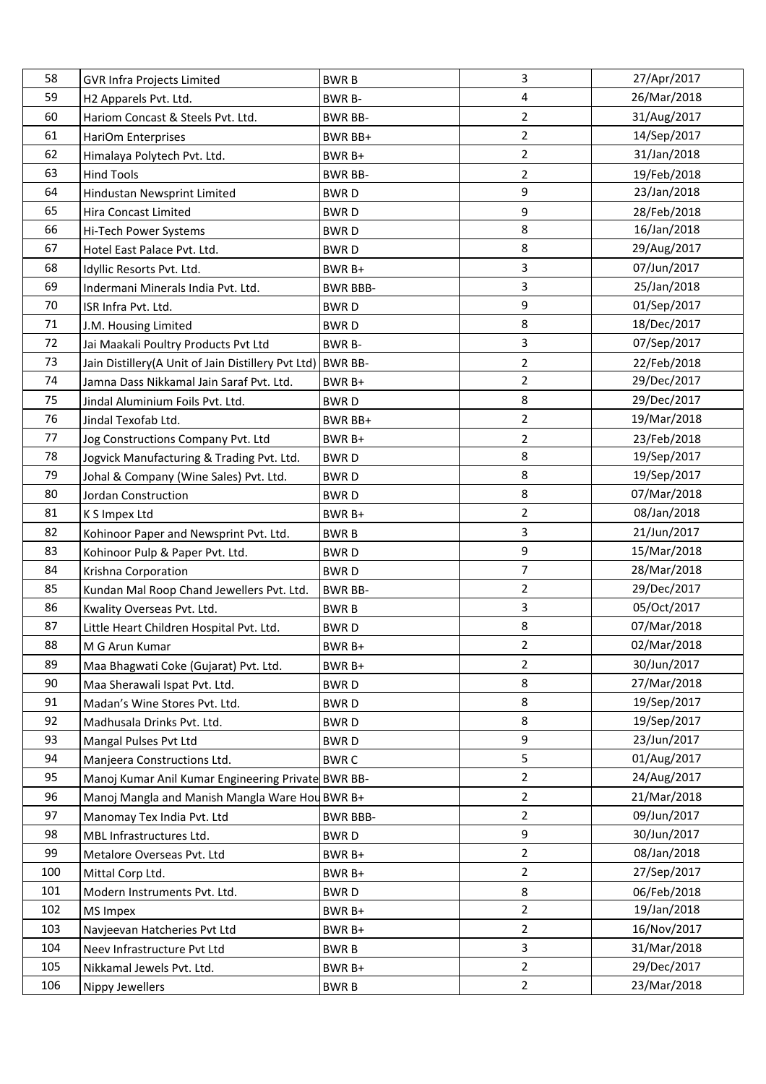| 58  | <b>GVR Infra Projects Limited</b>                          | <b>BWRB</b>     | 3              | 27/Apr/2017 |
|-----|------------------------------------------------------------|-----------------|----------------|-------------|
| 59  | H2 Apparels Pvt. Ltd.                                      | <b>BWR B-</b>   | 4              | 26/Mar/2018 |
| 60  | Hariom Concast & Steels Pvt. Ltd.                          | <b>BWR BB-</b>  | $\overline{2}$ | 31/Aug/2017 |
| 61  | HariOm Enterprises                                         | BWR BB+         | $\overline{2}$ | 14/Sep/2017 |
| 62  | Himalaya Polytech Pvt. Ltd.                                | BWR B+          | $\overline{2}$ | 31/Jan/2018 |
| 63  | <b>Hind Tools</b>                                          | <b>BWR BB-</b>  | $\overline{2}$ | 19/Feb/2018 |
| 64  | Hindustan Newsprint Limited                                | <b>BWRD</b>     | 9              | 23/Jan/2018 |
| 65  | Hira Concast Limited                                       | <b>BWRD</b>     | 9              | 28/Feb/2018 |
| 66  | Hi-Tech Power Systems                                      | <b>BWRD</b>     | 8              | 16/Jan/2018 |
| 67  | Hotel East Palace Pvt. Ltd.                                | <b>BWRD</b>     | 8              | 29/Aug/2017 |
| 68  | Idyllic Resorts Pvt. Ltd.                                  | BWR B+          | 3              | 07/Jun/2017 |
| 69  | Indermani Minerals India Pvt. Ltd.                         | <b>BWR BBB-</b> | $\overline{3}$ | 25/Jan/2018 |
| 70  | ISR Infra Pvt. Ltd.                                        | <b>BWRD</b>     | 9              | 01/Sep/2017 |
| 71  | J.M. Housing Limited                                       | <b>BWRD</b>     | 8              | 18/Dec/2017 |
| 72  | Jai Maakali Poultry Products Pvt Ltd                       | BWR B-          | 3              | 07/Sep/2017 |
| 73  | Jain Distillery(A Unit of Jain Distillery Pvt Ltd) BWR BB- |                 | $\overline{2}$ | 22/Feb/2018 |
| 74  | Jamna Dass Nikkamal Jain Saraf Pvt. Ltd.                   | BWR B+          | $\overline{2}$ | 29/Dec/2017 |
| 75  | Jindal Aluminium Foils Pvt. Ltd.                           | <b>BWRD</b>     | 8              | 29/Dec/2017 |
| 76  | Jindal Texofab Ltd.                                        | BWR BB+         | $\overline{2}$ | 19/Mar/2018 |
| 77  | Jog Constructions Company Pvt. Ltd                         | BWR B+          | $\overline{2}$ | 23/Feb/2018 |
| 78  | Jogvick Manufacturing & Trading Pvt. Ltd.                  | <b>BWRD</b>     | 8              | 19/Sep/2017 |
| 79  | Johal & Company (Wine Sales) Pvt. Ltd.                     | <b>BWRD</b>     | 8              | 19/Sep/2017 |
| 80  | Jordan Construction                                        | <b>BWRD</b>     | 8              | 07/Mar/2018 |
| 81  | K S Impex Ltd                                              | BWR B+          | $\overline{2}$ | 08/Jan/2018 |
| 82  | Kohinoor Paper and Newsprint Pvt. Ltd.                     | <b>BWRB</b>     | $\overline{3}$ | 21/Jun/2017 |
| 83  | Kohinoor Pulp & Paper Pvt. Ltd.                            | <b>BWRD</b>     | 9              | 15/Mar/2018 |
| 84  | Krishna Corporation                                        | <b>BWRD</b>     | $\overline{7}$ | 28/Mar/2018 |
| 85  | Kundan Mal Roop Chand Jewellers Pvt. Ltd.                  | <b>BWR BB-</b>  | $\overline{2}$ | 29/Dec/2017 |
| 86  | Kwality Overseas Pvt. Ltd.                                 | <b>BWRB</b>     | $\mathbf{3}$   | 05/Oct/2017 |
| 87  | Little Heart Children Hospital Pvt. Ltd.                   | <b>BWRD</b>     | 8              | 07/Mar/2018 |
| 88  | M G Arun Kumar                                             | BWR B+          | $\overline{2}$ | 02/Mar/2018 |
| 89  | Maa Bhagwati Coke (Gujarat) Pvt. Ltd.                      | BWR B+          | 2              | 30/Jun/2017 |
| 90  | Maa Sherawali Ispat Pvt. Ltd.                              | <b>BWRD</b>     | 8              | 27/Mar/2018 |
| 91  | Madan's Wine Stores Pvt. Ltd.                              | <b>BWRD</b>     | 8              | 19/Sep/2017 |
| 92  | Madhusala Drinks Pvt. Ltd.                                 | <b>BWRD</b>     | 8              | 19/Sep/2017 |
| 93  | Mangal Pulses Pvt Ltd                                      | <b>BWRD</b>     | 9              | 23/Jun/2017 |
| 94  | Manjeera Constructions Ltd.                                | <b>BWRC</b>     | 5              | 01/Aug/2017 |
| 95  | Manoj Kumar Anil Kumar Engineering Private BWR BB-         |                 | $\overline{2}$ | 24/Aug/2017 |
| 96  | Manoj Mangla and Manish Mangla Ware Hou BWR B+             |                 | $\overline{2}$ | 21/Mar/2018 |
| 97  | Manomay Tex India Pvt. Ltd                                 | <b>BWR BBB-</b> | $\overline{2}$ | 09/Jun/2017 |
| 98  | MBL Infrastructures Ltd.                                   | <b>BWRD</b>     | 9              | 30/Jun/2017 |
| 99  | Metalore Overseas Pvt. Ltd                                 | BWR B+          | $\overline{2}$ | 08/Jan/2018 |
| 100 | Mittal Corp Ltd.                                           | BWR B+          | $\overline{2}$ | 27/Sep/2017 |
| 101 | Modern Instruments Pvt. Ltd.                               | <b>BWRD</b>     | 8              | 06/Feb/2018 |
| 102 | MS Impex                                                   | BWR B+          | $\overline{2}$ | 19/Jan/2018 |
| 103 | Navjeevan Hatcheries Pvt Ltd                               | BWR B+          | $\overline{2}$ | 16/Nov/2017 |
| 104 | Neev Infrastructure Pvt Ltd                                | <b>BWRB</b>     | 3              | 31/Mar/2018 |
| 105 | Nikkamal Jewels Pvt. Ltd.                                  | BWR B+          | $\overline{2}$ | 29/Dec/2017 |
| 106 | Nippy Jewellers                                            | <b>BWRB</b>     | $\overline{2}$ | 23/Mar/2018 |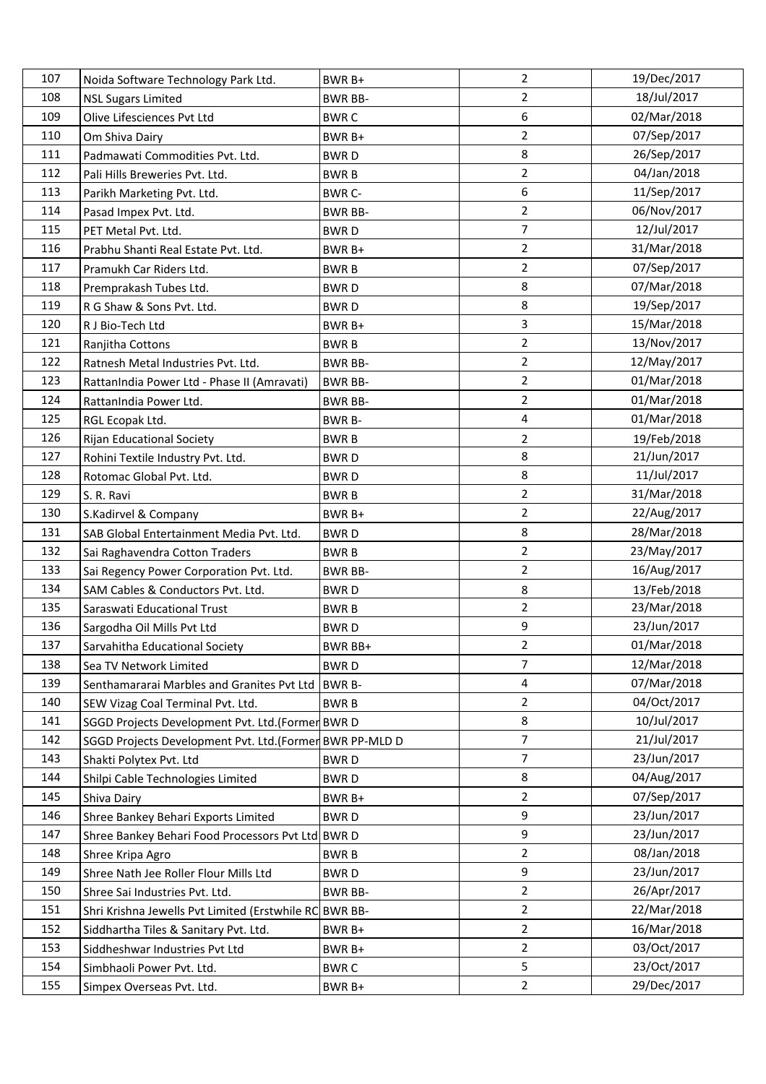| 107 | Noida Software Technology Park Ltd.                     | BWR B+         | $\overline{2}$          | 19/Dec/2017 |
|-----|---------------------------------------------------------|----------------|-------------------------|-------------|
| 108 | <b>NSL Sugars Limited</b>                               | <b>BWR BB-</b> | $\overline{2}$          | 18/Jul/2017 |
| 109 | Olive Lifesciences Pvt Ltd                              | <b>BWRC</b>    | 6                       | 02/Mar/2018 |
| 110 | Om Shiva Dairy                                          | BWR B+         | $\overline{2}$          | 07/Sep/2017 |
| 111 | Padmawati Commodities Pvt. Ltd.                         | <b>BWRD</b>    | 8                       | 26/Sep/2017 |
| 112 | Pali Hills Breweries Pvt. Ltd.                          | <b>BWRB</b>    | $\overline{2}$          | 04/Jan/2018 |
| 113 | Parikh Marketing Pvt. Ltd.                              | <b>BWR C-</b>  | 6                       | 11/Sep/2017 |
| 114 | Pasad Impex Pvt. Ltd.                                   | <b>BWR BB-</b> | $\overline{2}$          | 06/Nov/2017 |
| 115 | PET Metal Pvt. Ltd.                                     | <b>BWRD</b>    | $\overline{7}$          | 12/Jul/2017 |
| 116 | Prabhu Shanti Real Estate Pvt. Ltd.                     | BWR B+         | $\overline{2}$          | 31/Mar/2018 |
| 117 | Pramukh Car Riders Ltd.                                 | <b>BWRB</b>    | $\overline{2}$          | 07/Sep/2017 |
| 118 | Premprakash Tubes Ltd.                                  | <b>BWRD</b>    | 8                       | 07/Mar/2018 |
| 119 | R G Shaw & Sons Pvt. Ltd.                               | <b>BWRD</b>    | 8                       | 19/Sep/2017 |
| 120 | R J Bio-Tech Ltd                                        | BWR B+         | $\mathbf{3}$            | 15/Mar/2018 |
| 121 | Ranjitha Cottons                                        | <b>BWRB</b>    | $\overline{2}$          | 13/Nov/2017 |
| 122 | Ratnesh Metal Industries Pvt. Ltd.                      | <b>BWR BB-</b> | $\overline{2}$          | 12/May/2017 |
| 123 | RattanIndia Power Ltd - Phase II (Amravati)             | <b>BWR BB-</b> | $\overline{2}$          | 01/Mar/2018 |
| 124 | RattanIndia Power Ltd.                                  | <b>BWR BB-</b> | $\overline{2}$          | 01/Mar/2018 |
| 125 | RGL Ecopak Ltd.                                         | <b>BWR B-</b>  | $\overline{\mathbf{4}}$ | 01/Mar/2018 |
| 126 | <b>Rijan Educational Society</b>                        | <b>BWRB</b>    | $\overline{2}$          | 19/Feb/2018 |
| 127 | Rohini Textile Industry Pvt. Ltd.                       | <b>BWRD</b>    | 8                       | 21/Jun/2017 |
| 128 | Rotomac Global Pvt. Ltd.                                | <b>BWRD</b>    | 8                       | 11/Jul/2017 |
| 129 | S. R. Ravi                                              | <b>BWRB</b>    | $\overline{2}$          | 31/Mar/2018 |
| 130 | S.Kadirvel & Company                                    | BWR B+         | $\overline{2}$          | 22/Aug/2017 |
| 131 | SAB Global Entertainment Media Pvt. Ltd.                | <b>BWRD</b>    | 8                       | 28/Mar/2018 |
| 132 | Sai Raghavendra Cotton Traders                          | <b>BWRB</b>    | $\overline{2}$          | 23/May/2017 |
| 133 | Sai Regency Power Corporation Pvt. Ltd.                 | <b>BWR BB-</b> | $\overline{2}$          | 16/Aug/2017 |
| 134 | SAM Cables & Conductors Pvt. Ltd.                       | <b>BWRD</b>    | 8                       | 13/Feb/2018 |
| 135 | Saraswati Educational Trust                             | <b>BWRB</b>    | $\overline{2}$          | 23/Mar/2018 |
| 136 | Sargodha Oil Mills Pvt Ltd                              | <b>BWRD</b>    | 9                       | 23/Jun/2017 |
| 137 | Sarvahitha Educational Society                          | <b>BWR BB+</b> | $\overline{2}$          | 01/Mar/2018 |
| 138 | Sea TV Network Limited                                  | <b>BWRD</b>    | $\overline{7}$          | 12/Mar/2018 |
| 139 | Senthamararai Marbles and Granites Pvt Ltd              | <b>BWR B-</b>  | 4                       | 07/Mar/2018 |
| 140 | SEW Vizag Coal Terminal Pvt. Ltd.                       | <b>BWRB</b>    | $\overline{2}$          | 04/Oct/2017 |
| 141 | SGGD Projects Development Pvt. Ltd.(Former BWR D        |                | 8                       | 10/Jul/2017 |
| 142 | SGGD Projects Development Pvt. Ltd.(Former BWR PP-MLD D |                | $\overline{7}$          | 21/Jul/2017 |
| 143 | Shakti Polytex Pvt. Ltd                                 | <b>BWRD</b>    | $\overline{7}$          | 23/Jun/2017 |
| 144 | Shilpi Cable Technologies Limited                       | <b>BWRD</b>    | 8                       | 04/Aug/2017 |
| 145 | Shiva Dairy                                             | BWR B+         | $\overline{2}$          | 07/Sep/2017 |
| 146 | Shree Bankey Behari Exports Limited                     | <b>BWRD</b>    | 9                       | 23/Jun/2017 |
| 147 | Shree Bankey Behari Food Processors Pvt Ltd BWR D       |                | 9                       | 23/Jun/2017 |
| 148 | Shree Kripa Agro                                        | <b>BWRB</b>    | $\overline{2}$          | 08/Jan/2018 |
| 149 | Shree Nath Jee Roller Flour Mills Ltd                   | <b>BWRD</b>    | 9                       | 23/Jun/2017 |
| 150 | Shree Sai Industries Pvt. Ltd.                          | <b>BWR BB-</b> | $\overline{2}$          | 26/Apr/2017 |
| 151 | Shri Krishna Jewells Pvt Limited (Erstwhile RC BWR BB-  |                | $\overline{2}$          | 22/Mar/2018 |
| 152 | Siddhartha Tiles & Sanitary Pvt. Ltd.                   | BWR B+         | $\overline{2}$          | 16/Mar/2018 |
| 153 | Siddheshwar Industries Pvt Ltd                          | BWR B+         | $\overline{2}$          | 03/Oct/2017 |
| 154 | Simbhaoli Power Pvt. Ltd.                               | <b>BWRC</b>    | 5                       | 23/Oct/2017 |
| 155 | Simpex Overseas Pvt. Ltd.                               | BWR B+         | $\overline{2}$          | 29/Dec/2017 |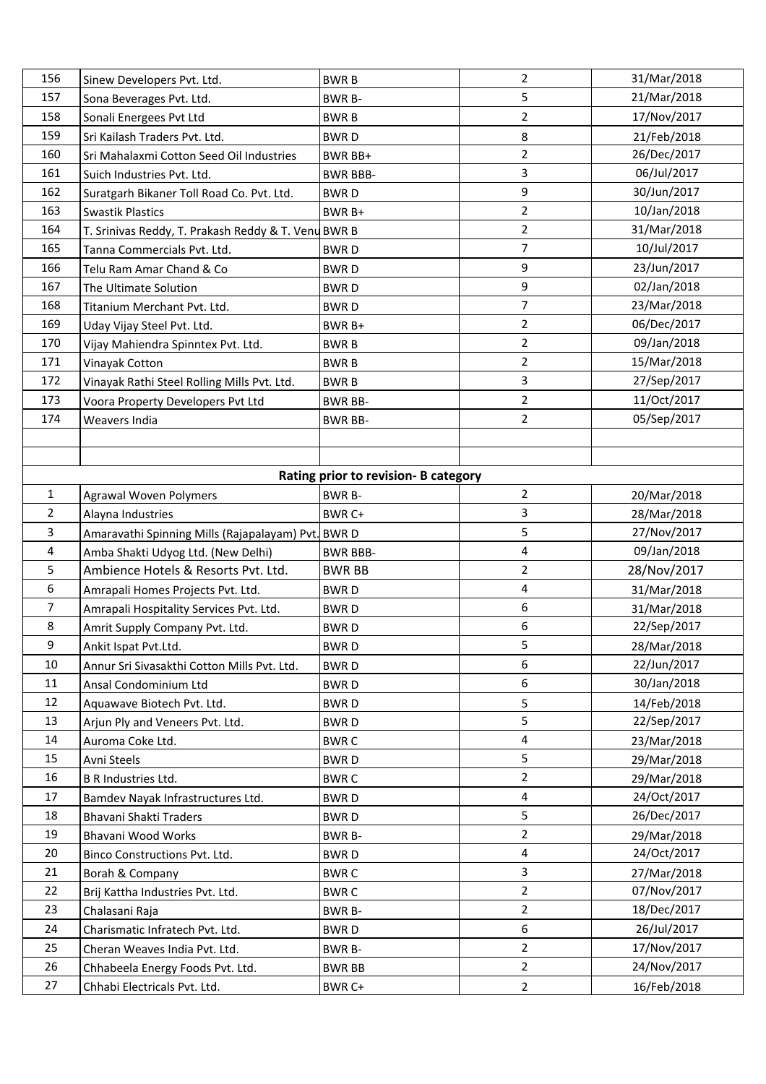| 156            | Sinew Developers Pvt. Ltd.                          | <b>BWRB</b>                          | $\overline{2}$   | 31/Mar/2018 |
|----------------|-----------------------------------------------------|--------------------------------------|------------------|-------------|
| 157            | Sona Beverages Pvt. Ltd.                            | <b>BWR B-</b>                        | 5                | 21/Mar/2018 |
| 158            | Sonali Energees Pvt Ltd                             | <b>BWRB</b>                          | $\overline{2}$   | 17/Nov/2017 |
| 159            | Sri Kailash Traders Pvt. Ltd.                       | <b>BWRD</b>                          | $\bf 8$          | 21/Feb/2018 |
| 160            | Sri Mahalaxmi Cotton Seed Oil Industries            | BWR BB+                              | $\overline{2}$   | 26/Dec/2017 |
| 161            | Suich Industries Pvt. Ltd.                          | <b>BWR BBB-</b>                      | 3                | 06/Jul/2017 |
| 162            | Suratgarh Bikaner Toll Road Co. Pvt. Ltd.           | <b>BWRD</b>                          | 9                | 30/Jun/2017 |
| 163            | <b>Swastik Plastics</b>                             | BWR B+                               | $\overline{2}$   | 10/Jan/2018 |
| 164            | T. Srinivas Reddy, T. Prakash Reddy & T. Venu BWR B |                                      | $\overline{2}$   | 31/Mar/2018 |
| 165            | Tanna Commercials Pvt. Ltd.                         | <b>BWRD</b>                          | 7                | 10/Jul/2017 |
| 166            | Telu Ram Amar Chand & Co                            | <b>BWRD</b>                          | 9                | 23/Jun/2017 |
| 167            | The Ultimate Solution                               | <b>BWRD</b>                          | 9                | 02/Jan/2018 |
| 168            | Titanium Merchant Pvt. Ltd.                         | <b>BWRD</b>                          | $\overline{7}$   | 23/Mar/2018 |
| 169            | Uday Vijay Steel Pvt. Ltd.                          | BWR B+                               | $\overline{2}$   | 06/Dec/2017 |
| 170            | Vijay Mahiendra Spinntex Pvt. Ltd.                  | <b>BWRB</b>                          | $\overline{2}$   | 09/Jan/2018 |
| 171            | Vinayak Cotton                                      | <b>BWRB</b>                          | $\overline{2}$   | 15/Mar/2018 |
| 172            | Vinayak Rathi Steel Rolling Mills Pvt. Ltd.         | <b>BWRB</b>                          | 3                | 27/Sep/2017 |
| 173            | Voora Property Developers Pvt Ltd                   | <b>BWR BB-</b>                       | $\overline{2}$   | 11/Oct/2017 |
| 174            | Weavers India                                       | <b>BWR BB-</b>                       | $\overline{2}$   | 05/Sep/2017 |
|                |                                                     |                                      |                  |             |
|                |                                                     |                                      |                  |             |
|                |                                                     | Rating prior to revision- B category |                  |             |
| $\mathbf{1}$   | <b>Agrawal Woven Polymers</b>                       | <b>BWR B-</b>                        | $\overline{2}$   | 20/Mar/2018 |
| 2              | Alayna Industries                                   | BWR C+                               | 3                | 28/Mar/2018 |
| 3              | Amaravathi Spinning Mills (Rajapalayam) Pvt. BWR D  |                                      | 5                | 27/Nov/2017 |
| 4              | Amba Shakti Udyog Ltd. (New Delhi)                  | <b>BWR BBB-</b>                      | $\overline{4}$   | 09/Jan/2018 |
| 5              | Ambience Hotels & Resorts Pvt. Ltd.                 | <b>BWR BB</b>                        | $\overline{2}$   | 28/Nov/2017 |
| 6              | Amrapali Homes Projects Pvt. Ltd.                   | <b>BWRD</b>                          | $\overline{4}$   | 31/Mar/2018 |
| $\overline{7}$ | Amrapali Hospitality Services Pvt. Ltd.             | <b>BWRD</b>                          | 6                | 31/Mar/2018 |
| 8              | Amrit Supply Company Pvt. Ltd.                      | <b>BWRD</b>                          | $\boldsymbol{6}$ | 22/Sep/2017 |
| 9              | Ankit Ispat Pvt.Ltd.                                | <b>BWRD</b>                          | 5                | 28/Mar/2018 |
| 10             | Annur Sri Sivasakthi Cotton Mills Pvt. Ltd.         | BWR D                                | 6                | 22/Jun/2017 |
| 11             | Ansal Condominium Ltd                               | <b>BWRD</b>                          | 6                | 30/Jan/2018 |
| 12             | Aquawave Biotech Pvt. Ltd.                          | <b>BWRD</b>                          | 5                | 14/Feb/2018 |
| 13             | Arjun Ply and Veneers Pvt. Ltd.                     | <b>BWRD</b>                          | 5                | 22/Sep/2017 |
| 14             | Auroma Coke Ltd.                                    | <b>BWRC</b>                          | $\overline{4}$   | 23/Mar/2018 |
| 15             | Avni Steels                                         | <b>BWRD</b>                          | 5                | 29/Mar/2018 |
| 16             | <b>B R Industries Ltd.</b>                          | <b>BWRC</b>                          | $\overline{2}$   | 29/Mar/2018 |
| 17             | Bamdev Nayak Infrastructures Ltd.                   | <b>BWRD</b>                          | $\overline{4}$   | 24/Oct/2017 |
| 18             | Bhavani Shakti Traders                              | <b>BWRD</b>                          | 5                | 26/Dec/2017 |
| 19             | Bhavani Wood Works                                  | BWR B-                               | $\overline{2}$   | 29/Mar/2018 |
| 20             | Binco Constructions Pvt. Ltd.                       | <b>BWRD</b>                          | $\overline{4}$   | 24/Oct/2017 |
| 21             | Borah & Company                                     | <b>BWRC</b>                          | $\overline{3}$   | 27/Mar/2018 |
| 22             | Brij Kattha Industries Pvt. Ltd.                    | <b>BWRC</b>                          | $\overline{2}$   | 07/Nov/2017 |
| 23             | Chalasani Raja                                      | <b>BWR B-</b>                        | $\overline{2}$   | 18/Dec/2017 |
| 24             | Charismatic Infratech Pvt. Ltd.                     | <b>BWRD</b>                          | $\boldsymbol{6}$ | 26/Jul/2017 |
| 25             | Cheran Weaves India Pvt. Ltd.                       | <b>BWR B-</b>                        | $\overline{2}$   | 17/Nov/2017 |
| 26             | Chhabeela Energy Foods Pvt. Ltd.                    | <b>BWR BB</b>                        | $\overline{2}$   | 24/Nov/2017 |
|                |                                                     |                                      |                  |             |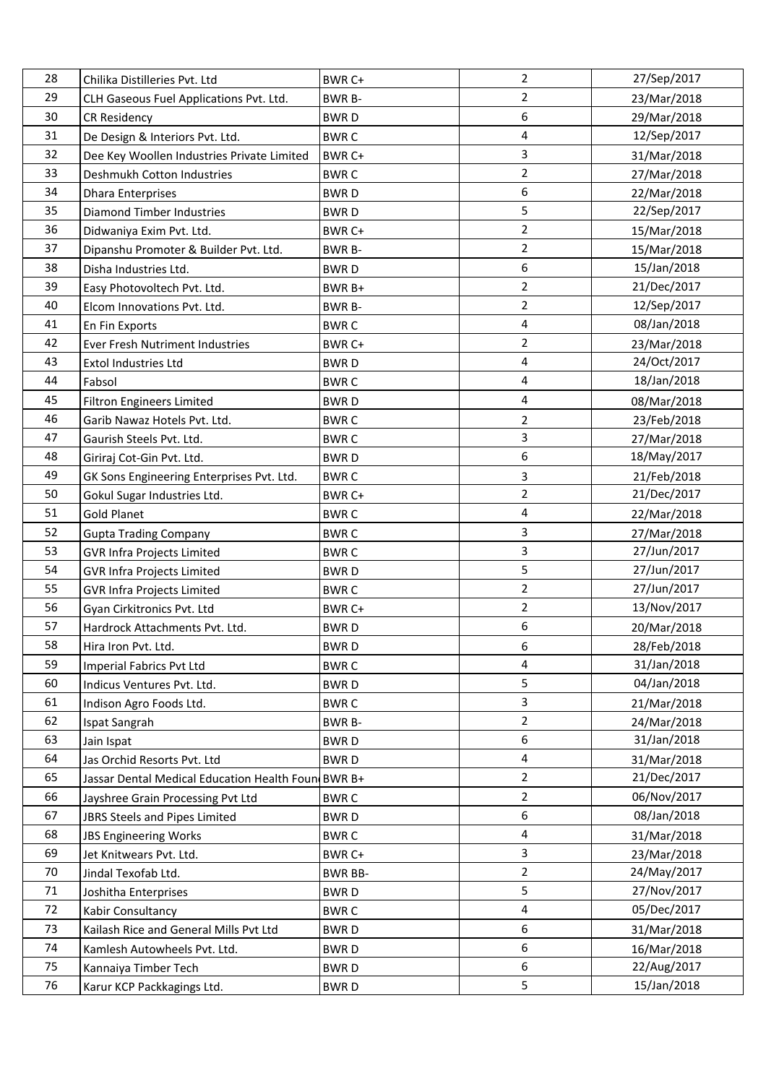| 28 | Chilika Distilleries Pvt. Ltd                      | BWR C+         | $\overline{2}$          | 27/Sep/2017 |
|----|----------------------------------------------------|----------------|-------------------------|-------------|
| 29 | CLH Gaseous Fuel Applications Pvt. Ltd.            | <b>BWR B-</b>  | $\overline{2}$          | 23/Mar/2018 |
| 30 | <b>CR Residency</b>                                | <b>BWRD</b>    | 6                       | 29/Mar/2018 |
| 31 | De Design & Interiors Pvt. Ltd.                    | <b>BWRC</b>    | 4                       | 12/Sep/2017 |
| 32 | Dee Key Woollen Industries Private Limited         | BWR C+         | $\overline{3}$          | 31/Mar/2018 |
| 33 | Deshmukh Cotton Industries                         | <b>BWRC</b>    | $\overline{2}$          | 27/Mar/2018 |
| 34 | <b>Dhara Enterprises</b>                           | <b>BWRD</b>    | 6                       | 22/Mar/2018 |
| 35 | <b>Diamond Timber Industries</b>                   | <b>BWRD</b>    | 5                       | 22/Sep/2017 |
| 36 | Didwaniya Exim Pvt. Ltd.                           | BWR C+         | $\overline{2}$          | 15/Mar/2018 |
| 37 | Dipanshu Promoter & Builder Pvt. Ltd.              | <b>BWR B-</b>  | $\overline{2}$          | 15/Mar/2018 |
| 38 | Disha Industries Ltd.                              | <b>BWRD</b>    | 6                       | 15/Jan/2018 |
| 39 | Easy Photovoltech Pvt. Ltd.                        | BWR B+         | $\overline{2}$          | 21/Dec/2017 |
| 40 | Elcom Innovations Pvt. Ltd.                        | <b>BWR B-</b>  | $\overline{2}$          | 12/Sep/2017 |
| 41 | En Fin Exports                                     | <b>BWRC</b>    | $\overline{\mathbf{4}}$ | 08/Jan/2018 |
| 42 | Ever Fresh Nutriment Industries                    | BWR C+         | $\overline{2}$          | 23/Mar/2018 |
| 43 | Extol Industries Ltd                               | <b>BWRD</b>    | 4                       | 24/Oct/2017 |
| 44 | Fabsol                                             | <b>BWRC</b>    | 4                       | 18/Jan/2018 |
| 45 | <b>Filtron Engineers Limited</b>                   | <b>BWRD</b>    | $\overline{4}$          | 08/Mar/2018 |
| 46 | Garib Nawaz Hotels Pvt. Ltd.                       | <b>BWRC</b>    | $\overline{2}$          | 23/Feb/2018 |
| 47 | Gaurish Steels Pvt. Ltd.                           | <b>BWRC</b>    | 3                       | 27/Mar/2018 |
| 48 | Giriraj Cot-Gin Pvt. Ltd.                          | <b>BWRD</b>    | 6                       | 18/May/2017 |
| 49 | GK Sons Engineering Enterprises Pvt. Ltd.          | <b>BWRC</b>    | 3                       | 21/Feb/2018 |
| 50 | Gokul Sugar Industries Ltd.                        | BWR C+         | $\overline{2}$          | 21/Dec/2017 |
| 51 | <b>Gold Planet</b>                                 | <b>BWRC</b>    | 4                       | 22/Mar/2018 |
| 52 | <b>Gupta Trading Company</b>                       | <b>BWRC</b>    | 3                       | 27/Mar/2018 |
| 53 | <b>GVR Infra Projects Limited</b>                  | <b>BWRC</b>    | $\overline{3}$          | 27/Jun/2017 |
| 54 | <b>GVR Infra Projects Limited</b>                  | <b>BWRD</b>    | 5                       | 27/Jun/2017 |
| 55 | GVR Infra Projects Limited                         | <b>BWRC</b>    | $\overline{2}$          | 27/Jun/2017 |
| 56 | Gyan Cirkitronics Pvt. Ltd                         | BWR C+         | $\overline{2}$          | 13/Nov/2017 |
| 57 | Hardrock Attachments Pvt. Ltd.                     | <b>BWRD</b>    | 6                       | 20/Mar/2018 |
| 58 | Hira Iron Pvt. Ltd.                                | <b>BWRD</b>    | 6                       | 28/Feb/2018 |
| 59 | Imperial Fabrics Pvt Ltd                           | <b>BWRC</b>    | 4                       | 31/Jan/2018 |
| 60 | Indicus Ventures Pvt. Ltd.                         | <b>BWRD</b>    | 5                       | 04/Jan/2018 |
| 61 | Indison Agro Foods Ltd.                            | <b>BWRC</b>    | 3                       | 21/Mar/2018 |
| 62 | Ispat Sangrah                                      | <b>BWR B-</b>  | $\overline{2}$          | 24/Mar/2018 |
| 63 | Jain Ispat                                         | <b>BWRD</b>    | 6                       | 31/Jan/2018 |
| 64 | Jas Orchid Resorts Pvt. Ltd                        | <b>BWRD</b>    | 4                       | 31/Mar/2018 |
| 65 | Jassar Dental Medical Education Health Foun BWR B+ |                | $\overline{2}$          | 21/Dec/2017 |
| 66 | Jayshree Grain Processing Pvt Ltd                  | <b>BWRC</b>    | $\overline{2}$          | 06/Nov/2017 |
| 67 | JBRS Steels and Pipes Limited                      | <b>BWRD</b>    | 6                       | 08/Jan/2018 |
| 68 | <b>JBS Engineering Works</b>                       | <b>BWRC</b>    | 4                       | 31/Mar/2018 |
| 69 | Jet Knitwears Pvt. Ltd.                            | BWR C+         | 3                       | 23/Mar/2018 |
| 70 | Jindal Texofab Ltd.                                | <b>BWR BB-</b> | $\overline{2}$          | 24/May/2017 |
| 71 | Joshitha Enterprises                               | <b>BWRD</b>    | 5                       | 27/Nov/2017 |
| 72 | Kabir Consultancy                                  | <b>BWRC</b>    | 4                       | 05/Dec/2017 |
| 73 | Kailash Rice and General Mills Pvt Ltd             | <b>BWRD</b>    | 6                       | 31/Mar/2018 |
| 74 | Kamlesh Autowheels Pvt. Ltd.                       | <b>BWRD</b>    | 6                       | 16/Mar/2018 |
| 75 | Kannaiya Timber Tech                               | <b>BWRD</b>    | 6                       | 22/Aug/2017 |
| 76 | Karur KCP Packkagings Ltd.                         | <b>BWRD</b>    | 5                       | 15/Jan/2018 |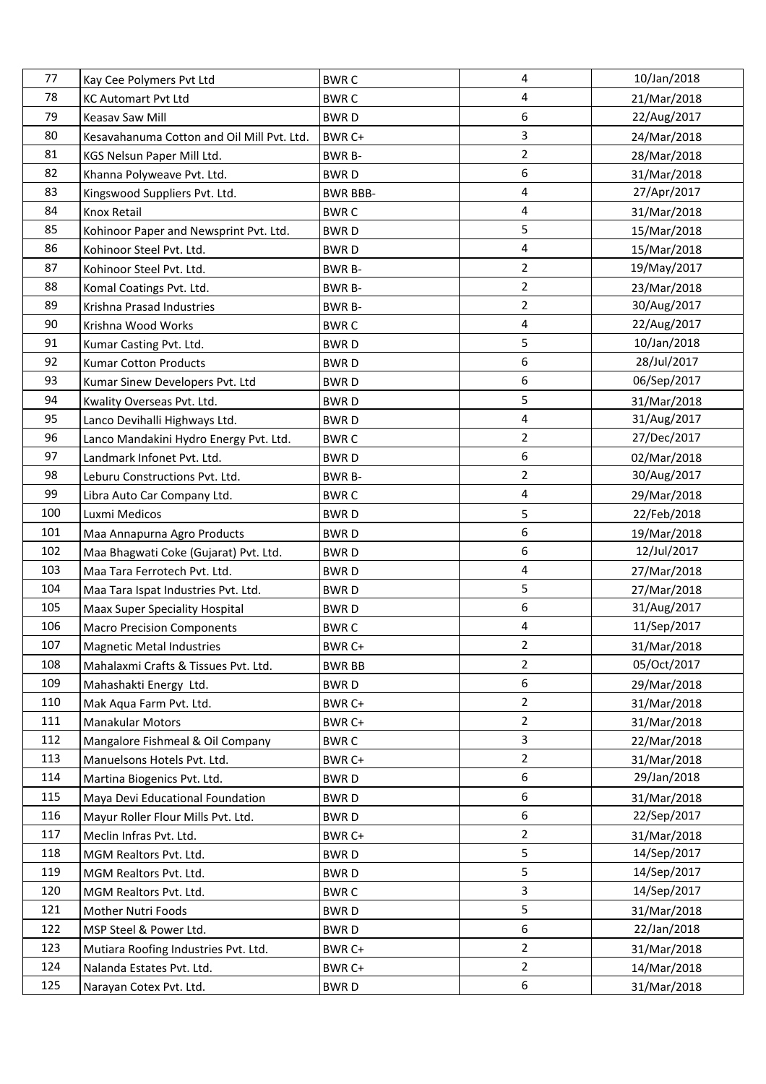| 77  | Kay Cee Polymers Pvt Ltd                   | <b>BWRC</b>     | 4              | 10/Jan/2018 |
|-----|--------------------------------------------|-----------------|----------------|-------------|
| 78  | <b>KC Automart Pvt Ltd</b>                 | <b>BWRC</b>     | 4              | 21/Mar/2018 |
| 79  | Keasav Saw Mill                            | <b>BWRD</b>     | 6              | 22/Aug/2017 |
| 80  | Kesavahanuma Cotton and Oil Mill Pvt. Ltd. | BWR C+          | 3              | 24/Mar/2018 |
| 81  | KGS Nelsun Paper Mill Ltd.                 | <b>BWR B-</b>   | $\overline{2}$ | 28/Mar/2018 |
| 82  | Khanna Polyweave Pvt. Ltd.                 | <b>BWRD</b>     | 6              | 31/Mar/2018 |
| 83  | Kingswood Suppliers Pvt. Ltd.              | <b>BWR BBB-</b> | 4              | 27/Apr/2017 |
| 84  | <b>Knox Retail</b>                         | <b>BWRC</b>     | 4              | 31/Mar/2018 |
| 85  | Kohinoor Paper and Newsprint Pvt. Ltd.     | <b>BWRD</b>     | 5              | 15/Mar/2018 |
| 86  | Kohinoor Steel Pvt. Ltd.                   | <b>BWRD</b>     | 4              | 15/Mar/2018 |
| 87  | Kohinoor Steel Pvt. Ltd.                   | <b>BWR B-</b>   | $\overline{2}$ | 19/May/2017 |
| 88  | Komal Coatings Pvt. Ltd.                   | <b>BWR B-</b>   | $\overline{2}$ | 23/Mar/2018 |
| 89  | Krishna Prasad Industries                  | <b>BWR B-</b>   | $\overline{2}$ | 30/Aug/2017 |
| 90  | Krishna Wood Works                         | <b>BWRC</b>     | 4              | 22/Aug/2017 |
| 91  | Kumar Casting Pvt. Ltd.                    | <b>BWRD</b>     | 5              | 10/Jan/2018 |
| 92  | <b>Kumar Cotton Products</b>               | <b>BWRD</b>     | 6              | 28/Jul/2017 |
| 93  | Kumar Sinew Developers Pvt. Ltd            | <b>BWRD</b>     | 6              | 06/Sep/2017 |
| 94  | Kwality Overseas Pvt. Ltd.                 | <b>BWRD</b>     | 5              | 31/Mar/2018 |
| 95  | Lanco Devihalli Highways Ltd.              | <b>BWRD</b>     | 4              | 31/Aug/2017 |
| 96  | Lanco Mandakini Hydro Energy Pvt. Ltd.     | <b>BWRC</b>     | 2              | 27/Dec/2017 |
| 97  | Landmark Infonet Pvt. Ltd.                 | <b>BWRD</b>     | 6              | 02/Mar/2018 |
| 98  | Leburu Constructions Pvt. Ltd.             | <b>BWR B-</b>   | $\overline{2}$ | 30/Aug/2017 |
| 99  | Libra Auto Car Company Ltd.                | <b>BWRC</b>     | 4              | 29/Mar/2018 |
| 100 | Luxmi Medicos                              | <b>BWRD</b>     | 5              | 22/Feb/2018 |
| 101 | Maa Annapurna Agro Products                | <b>BWRD</b>     | 6              | 19/Mar/2018 |
| 102 | Maa Bhagwati Coke (Gujarat) Pvt. Ltd.      | <b>BWRD</b>     | 6              | 12/Jul/2017 |
| 103 | Maa Tara Ferrotech Pvt. Ltd.               | <b>BWRD</b>     | 4              | 27/Mar/2018 |
| 104 | Maa Tara Ispat Industries Pvt. Ltd.        | <b>BWRD</b>     | 5              | 27/Mar/2018 |
| 105 | Maax Super Speciality Hospital             | <b>BWRD</b>     | 6              | 31/Aug/2017 |
| 106 | <b>Macro Precision Components</b>          | <b>BWRC</b>     | 4              | 11/Sep/2017 |
| 107 | <b>Magnetic Metal Industries</b>           | BWR C+          | $\mathfrak{D}$ | 31/Mar/2018 |
| 108 | Mahalaxmi Crafts & Tissues Pvt. Ltd.       | <b>BWR BB</b>   | $\overline{2}$ | 05/Oct/2017 |
| 109 | Mahashakti Energy Ltd.                     | <b>BWRD</b>     | 6              | 29/Mar/2018 |
| 110 | Mak Aqua Farm Pvt. Ltd.                    | BWR C+          | $\overline{2}$ | 31/Mar/2018 |
| 111 | Manakular Motors                           | BWR C+          | 2              | 31/Mar/2018 |
| 112 | Mangalore Fishmeal & Oil Company           | <b>BWRC</b>     | 3              | 22/Mar/2018 |
| 113 | Manuelsons Hotels Pvt. Ltd.                | BWR C+          | 2              | 31/Mar/2018 |
| 114 | Martina Biogenics Pvt. Ltd.                | <b>BWRD</b>     | 6              | 29/Jan/2018 |
| 115 | Maya Devi Educational Foundation           | <b>BWRD</b>     | 6              | 31/Mar/2018 |
| 116 | Mayur Roller Flour Mills Pvt. Ltd.         | <b>BWRD</b>     | 6              | 22/Sep/2017 |
| 117 | Meclin Infras Pvt. Ltd.                    | BWR C+          | $\overline{2}$ | 31/Mar/2018 |
| 118 | MGM Realtors Pvt. Ltd.                     | <b>BWRD</b>     | 5              | 14/Sep/2017 |
| 119 | MGM Realtors Pvt. Ltd.                     | <b>BWRD</b>     | 5              | 14/Sep/2017 |
| 120 | MGM Realtors Pvt. Ltd.                     | <b>BWRC</b>     | 3              | 14/Sep/2017 |
| 121 | Mother Nutri Foods                         | <b>BWRD</b>     | 5              | 31/Mar/2018 |
| 122 | MSP Steel & Power Ltd.                     | <b>BWRD</b>     | 6              | 22/Jan/2018 |
| 123 | Mutiara Roofing Industries Pvt. Ltd.       | BWR C+          | $\overline{2}$ | 31/Mar/2018 |
| 124 | Nalanda Estates Pvt. Ltd.                  | BWR C+          | $\overline{2}$ | 14/Mar/2018 |
| 125 | Narayan Cotex Pvt. Ltd.                    | <b>BWRD</b>     | 6              | 31/Mar/2018 |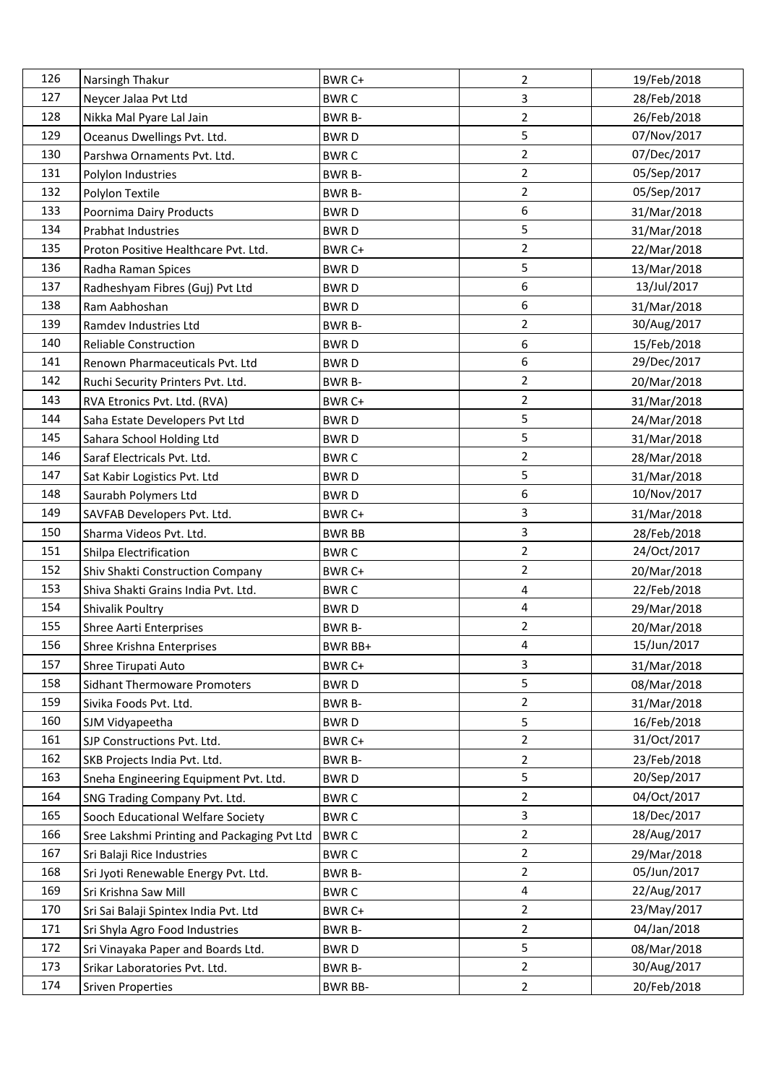| 126 | Narsingh Thakur                             | BWR C+         | 2              | 19/Feb/2018 |
|-----|---------------------------------------------|----------------|----------------|-------------|
| 127 | Neycer Jalaa Pvt Ltd                        | <b>BWRC</b>    | 3              | 28/Feb/2018 |
| 128 | Nikka Mal Pyare Lal Jain                    | <b>BWR B-</b>  | $\overline{2}$ | 26/Feb/2018 |
| 129 | Oceanus Dwellings Pvt. Ltd.                 | <b>BWRD</b>    | 5              | 07/Nov/2017 |
| 130 | Parshwa Ornaments Pvt. Ltd.                 | <b>BWRC</b>    | $\overline{2}$ | 07/Dec/2017 |
| 131 | Polylon Industries                          | <b>BWR B-</b>  | $\overline{2}$ | 05/Sep/2017 |
| 132 | Polylon Textile                             | <b>BWR B-</b>  | 2              | 05/Sep/2017 |
| 133 | Poornima Dairy Products                     | <b>BWRD</b>    | 6              | 31/Mar/2018 |
| 134 | Prabhat Industries                          | <b>BWRD</b>    | 5              | 31/Mar/2018 |
| 135 | Proton Positive Healthcare Pvt. Ltd.        | BWR C+         | $\overline{2}$ | 22/Mar/2018 |
| 136 | Radha Raman Spices                          | <b>BWRD</b>    | 5              | 13/Mar/2018 |
| 137 | Radheshyam Fibres (Guj) Pvt Ltd             | <b>BWRD</b>    | 6              | 13/Jul/2017 |
| 138 | Ram Aabhoshan                               | <b>BWRD</b>    | 6              | 31/Mar/2018 |
| 139 | Ramdev Industries Ltd                       | BWR B-         | $\overline{2}$ | 30/Aug/2017 |
| 140 | <b>Reliable Construction</b>                | <b>BWRD</b>    | 6              | 15/Feb/2018 |
| 141 | Renown Pharmaceuticals Pvt. Ltd             | <b>BWRD</b>    | 6              | 29/Dec/2017 |
| 142 | Ruchi Security Printers Pvt. Ltd.           | BWR B-         | $\overline{2}$ | 20/Mar/2018 |
| 143 | RVA Etronics Pvt. Ltd. (RVA)                | BWR C+         | $\overline{2}$ | 31/Mar/2018 |
| 144 | Saha Estate Developers Pvt Ltd              | <b>BWRD</b>    | 5              | 24/Mar/2018 |
| 145 | Sahara School Holding Ltd                   | <b>BWRD</b>    | 5              | 31/Mar/2018 |
| 146 | Saraf Electricals Pvt. Ltd.                 | <b>BWRC</b>    | $\overline{2}$ | 28/Mar/2018 |
| 147 | Sat Kabir Logistics Pvt. Ltd                | <b>BWRD</b>    | 5              | 31/Mar/2018 |
| 148 | Saurabh Polymers Ltd                        | <b>BWRD</b>    | 6              | 10/Nov/2017 |
| 149 | SAVFAB Developers Pvt. Ltd.                 | BWR C+         | 3              | 31/Mar/2018 |
| 150 | Sharma Videos Pvt. Ltd.                     | <b>BWR BB</b>  | 3              | 28/Feb/2018 |
| 151 | Shilpa Electrification                      | <b>BWRC</b>    | $\overline{2}$ | 24/Oct/2017 |
| 152 | Shiv Shakti Construction Company            | BWR C+         | $\overline{2}$ | 20/Mar/2018 |
| 153 | Shiva Shakti Grains India Pvt. Ltd.         | <b>BWRC</b>    | 4              | 22/Feb/2018 |
| 154 | Shivalik Poultry                            | <b>BWRD</b>    | 4              | 29/Mar/2018 |
| 155 | Shree Aarti Enterprises                     | <b>BWR B-</b>  | $\overline{2}$ | 20/Mar/2018 |
| 156 | Shree Krishna Enterprises                   | <b>BWR BB+</b> | 4              | 15/Jun/2017 |
| 157 | Shree Tirupati Auto                         | BWR C+         | 3              | 31/Mar/2018 |
| 158 | <b>Sidhant Thermoware Promoters</b>         | <b>BWRD</b>    | 5              | 08/Mar/2018 |
| 159 | Sivika Foods Pvt. Ltd.                      | <b>BWR B-</b>  | $\overline{2}$ | 31/Mar/2018 |
| 160 | SJM Vidyapeetha                             | <b>BWRD</b>    | 5              | 16/Feb/2018 |
| 161 | SJP Constructions Pvt. Ltd.                 | BWR C+         | 2              | 31/Oct/2017 |
| 162 | SKB Projects India Pvt. Ltd.                | <b>BWR B-</b>  | 2              | 23/Feb/2018 |
| 163 | Sneha Engineering Equipment Pvt. Ltd.       | <b>BWRD</b>    | 5              | 20/Sep/2017 |
| 164 | SNG Trading Company Pvt. Ltd.               | <b>BWRC</b>    | $\overline{2}$ | 04/Oct/2017 |
| 165 | Sooch Educational Welfare Society           | <b>BWRC</b>    | 3              | 18/Dec/2017 |
| 166 | Sree Lakshmi Printing and Packaging Pvt Ltd | <b>BWRC</b>    | $\overline{2}$ | 28/Aug/2017 |
| 167 | Sri Balaji Rice Industries                  | <b>BWRC</b>    | 2              | 29/Mar/2018 |
| 168 | Sri Jyoti Renewable Energy Pvt. Ltd.        | <b>BWR B-</b>  | 2              | 05/Jun/2017 |
| 169 | Sri Krishna Saw Mill                        | <b>BWRC</b>    | 4              | 22/Aug/2017 |
| 170 | Sri Sai Balaji Spintex India Pvt. Ltd       | BWR C+         | $\overline{2}$ | 23/May/2017 |
| 171 | Sri Shyla Agro Food Industries              | <b>BWR B-</b>  | 2              | 04/Jan/2018 |
| 172 | Sri Vinayaka Paper and Boards Ltd.          | <b>BWRD</b>    | 5              | 08/Mar/2018 |
| 173 | Srikar Laboratories Pvt. Ltd.               | BWR B-         | $\overline{a}$ | 30/Aug/2017 |
| 174 | <b>Sriven Properties</b>                    | <b>BWR BB-</b> | 2              | 20/Feb/2018 |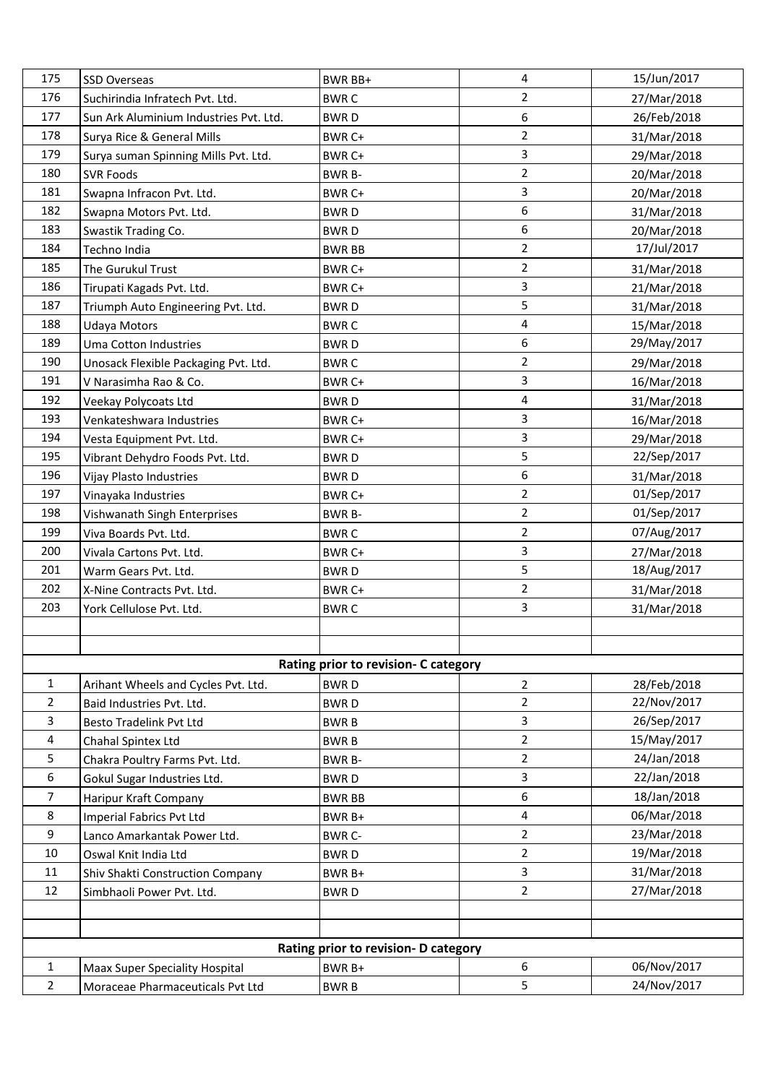| 175            | <b>SSD Overseas</b>                                     | BWR BB+                              | 4                                | 15/Jun/2017                |
|----------------|---------------------------------------------------------|--------------------------------------|----------------------------------|----------------------------|
| 176            | Suchirindia Infratech Pvt. Ltd.                         | <b>BWRC</b>                          | $\overline{2}$                   | 27/Mar/2018                |
| 177            | Sun Ark Aluminium Industries Pvt. Ltd.                  | <b>BWRD</b>                          | 6                                | 26/Feb/2018                |
| 178            | Surya Rice & General Mills                              | BWR C+                               | $\overline{2}$                   | 31/Mar/2018                |
| 179            | Surya suman Spinning Mills Pvt. Ltd.                    | BWR C+                               | $\overline{3}$                   | 29/Mar/2018                |
| 180            | <b>SVR Foods</b>                                        | BWR B-                               | $\overline{2}$                   | 20/Mar/2018                |
| 181            | Swapna Infracon Pvt. Ltd.                               | BWR C+                               | $\mathbf{3}$                     | 20/Mar/2018                |
| 182            | Swapna Motors Pvt. Ltd.                                 | <b>BWRD</b>                          | 6                                | 31/Mar/2018                |
| 183            | Swastik Trading Co.                                     | <b>BWRD</b>                          | 6                                | 20/Mar/2018                |
| 184            | Techno India                                            | <b>BWR BB</b>                        | $\overline{2}$                   | 17/Jul/2017                |
| 185            | The Gurukul Trust                                       | BWR C+                               | $\overline{2}$                   | 31/Mar/2018                |
| 186            | Tirupati Kagads Pvt. Ltd.                               | BWR C+                               | $\overline{3}$                   | 21/Mar/2018                |
| 187            | Triumph Auto Engineering Pvt. Ltd.                      | <b>BWRD</b>                          | 5                                | 31/Mar/2018                |
| 188            | <b>Udaya Motors</b>                                     | <b>BWRC</b>                          | $\overline{\mathbf{4}}$          | 15/Mar/2018                |
| 189            | Uma Cotton Industries                                   | <b>BWRD</b>                          | 6                                | 29/May/2017                |
| 190            | Unosack Flexible Packaging Pvt. Ltd.                    | <b>BWRC</b>                          | $\overline{2}$                   | 29/Mar/2018                |
| 191            | V Narasimha Rao & Co.                                   | BWR C+                               | 3                                | 16/Mar/2018                |
| 192            | <b>Veekay Polycoats Ltd</b>                             | <b>BWRD</b>                          | 4                                | 31/Mar/2018                |
| 193            | Venkateshwara Industries                                | BWR C+                               | 3                                | 16/Mar/2018                |
| 194            | Vesta Equipment Pvt. Ltd.                               | BWR C+                               | $\overline{3}$                   | 29/Mar/2018                |
| 195            | Vibrant Dehydro Foods Pvt. Ltd.                         | <b>BWRD</b>                          | 5                                | 22/Sep/2017                |
| 196            | Vijay Plasto Industries                                 | <b>BWRD</b>                          | 6                                | 31/Mar/2018                |
| 197            | Vinayaka Industries                                     | BWR C+                               | $\overline{2}$                   | 01/Sep/2017                |
| 198            | Vishwanath Singh Enterprises                            | <b>BWR B-</b>                        | $\overline{2}$                   | 01/Sep/2017                |
| 199            | Viva Boards Pvt. Ltd.                                   | <b>BWRC</b>                          | $\overline{2}$                   | 07/Aug/2017                |
| 200            | Vivala Cartons Pvt. Ltd.                                | BWR C+                               | $\mathbf{3}$                     | 27/Mar/2018                |
| 201            | Warm Gears Pvt. Ltd.                                    | <b>BWRD</b>                          | 5                                | 18/Aug/2017                |
| 202            | X-Nine Contracts Pvt. Ltd.                              | BWR C+                               | $\overline{2}$                   | 31/Mar/2018                |
| 203            | York Cellulose Pvt. Ltd.                                | <b>BWRC</b>                          | $\overline{3}$                   | 31/Mar/2018                |
|                |                                                         |                                      |                                  |                            |
|                |                                                         |                                      |                                  |                            |
|                |                                                         | Rating prior to revision- C category |                                  |                            |
| $\mathbf{1}$   | Arihant Wheels and Cycles Pvt. Ltd.                     | <b>BWRD</b>                          | $\overline{2}$                   | 28/Feb/2018                |
| $\overline{2}$ | Baid Industries Pvt. Ltd.                               | <b>BWRD</b>                          | $\overline{2}$                   | 22/Nov/2017                |
| 3              | <b>Besto Tradelink Pvt Ltd</b>                          | <b>BWRB</b>                          | 3                                | 26/Sep/2017                |
| 4              | Chahal Spintex Ltd                                      | <b>BWRB</b>                          | $\overline{2}$<br>$\overline{2}$ | 15/May/2017                |
| 5<br>6         | Chakra Poultry Farms Pvt. Ltd.                          | <b>BWR B-</b>                        | $\overline{3}$                   | 24/Jan/2018<br>22/Jan/2018 |
| 7              | Gokul Sugar Industries Ltd.                             | <b>BWRD</b>                          | 6                                | 18/Jan/2018                |
| 8              | Haripur Kraft Company                                   | <b>BWR BB</b>                        | 4                                | 06/Mar/2018                |
| 9              | Imperial Fabrics Pvt Ltd<br>Lanco Amarkantak Power Ltd. | BWR B+<br><b>BWR C-</b>              | $\overline{2}$                   | 23/Mar/2018                |
| 10             | Oswal Knit India Ltd                                    | <b>BWRD</b>                          | $\overline{2}$                   | 19/Mar/2018                |
| 11             |                                                         |                                      | 3                                | 31/Mar/2018                |
| 12             | Shiv Shakti Construction Company                        | BWR B+                               | $\overline{2}$                   | 27/Mar/2018                |
|                | Simbhaoli Power Pvt. Ltd.                               | <b>BWRD</b>                          |                                  |                            |
|                |                                                         |                                      |                                  |                            |
|                |                                                         | Rating prior to revision- D category |                                  |                            |
| $\mathbf{1}$   | Maax Super Speciality Hospital                          | BWR B+                               | 6                                | 06/Nov/2017                |
| 2              | Moraceae Pharmaceuticals Pvt Ltd                        | <b>BWRB</b>                          | 5                                | 24/Nov/2017                |
|                |                                                         |                                      |                                  |                            |